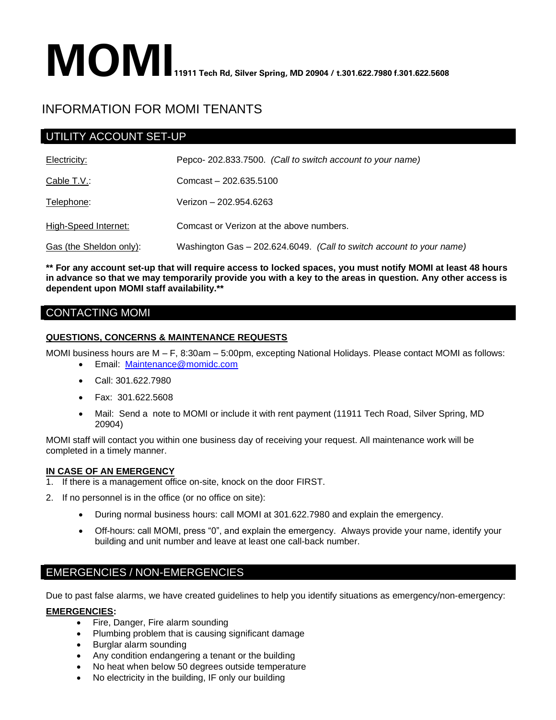# **MOMI** 11911 Tech Rd, Silver Spring, MD 20904 / t.301.622.7980 f.301.622.5608

# INFORMATION FOR MOMI TENANTS

# UTILITY ACCOUNT SET-UP

| Electricity:            | Pepco-202.833.7500. (Call to switch account to your name)            |
|-------------------------|----------------------------------------------------------------------|
| Cable T.V.:             | Comcast - 202.635.5100                                               |
| Telephone:              | Verizon - 202.954.6263                                               |
| High-Speed Internet:    | Comcast or Verizon at the above numbers.                             |
| Gas (the Sheldon only): | Washington Gas - 202.624.6049. (Call to switch account to your name) |

**\*\* For any account set-up that will require access to locked spaces, you must notify MOMI at least 48 hours in advance so that we may temporarily provide you with a key to the areas in question. Any other access is dependent upon MOMI staff availability.\*\*** 

## CONTACTING MOMI

### **QUESTIONS, CONCERNS & MAINTENANCE REQUESTS**

MOMI business hours are M – F, 8:30am – 5:00pm, excepting National Holidays. Please contact MOMI as follows:

- Email: [Maintenance@momidc.com](mailto:Maintenance@momidc.com)
- Call: 301.622.7980
- Fax: 301.622.5608
- Mail: Send a note to MOMI or include it with rent payment (11911 Tech Road, Silver Spring, MD 20904)

MOMI staff will contact you within one business day of receiving your request. All maintenance work will be completed in a timely manner.

### **IN CASE OF AN EMERGENCY**

- 1. If there is a management office on-site, knock on the door FIRST.
- 2. If no personnel is in the office (or no office on site):
	- During normal business hours: call MOMI at 301.622.7980 and explain the emergency.
	- Off-hours: call MOMI, press "0", and explain the emergency. Always provide your name, identify your building and unit number and leave at least one call-back number.

## EMERGENCIES / NON-EMERGENCIES

Due to past false alarms, we have created guidelines to help you identify situations as emergency/non-emergency:

### **EMERGENCIES:**

- Fire, Danger, Fire alarm sounding
- Plumbing problem that is causing significant damage
- Burglar alarm sounding
- Any condition endangering a tenant or the building
- No heat when below 50 degrees outside temperature
- No electricity in the building, IF only our building